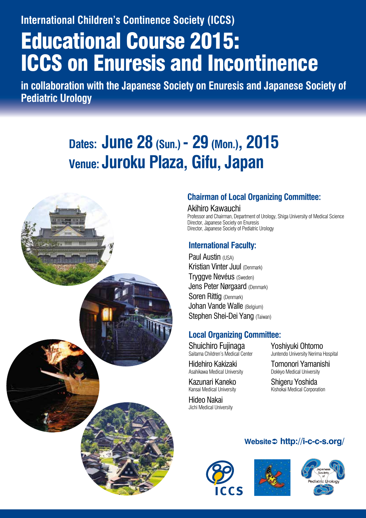**International Children's Continence Society (ICCS)**

# Educational Course 2015: ICCS on Enuresis and Incontinence

**in collaboration with the Japanese Society on Enuresis and Japanese Society of Pediatric Urology**

# **Dates: June 28 (Sun.) - 29 (Mon.), 2015 Venue: Juroku Plaza, Gifu, Japan**



# **Chairman of Local Organizing Committee:**

## Akihiro Kawauchi

Professor and Chairman, Department of Urology, Shiga University of Medical Science Director, Japanese Society on Enuresis Director, Japanese Society of Pediatric Urology

## **International Faculty:**

Paul Austin (USA) Kristian Vinter Juul (Denmark) Tryggve Nevéus (Sweden) Jens Peter Nørgaard (Denmark) Soren Rittig (Denmark) Johan Vande Walle (Belgium) Stephen Shei-Dei Yang (Taiwan)

# **Local Organizing Committee:**

Shuichiro Fujinaga Saitama Children's Medical Center

Hidehiro Kakizaki Asahikawa Medical University

Kazunari Kaneko Kansai Medical University

Hideo Nakai Jichi Medical University Yoshiyuki Ohtomo Juntendo University Nerima Hospital

Tomonori Yamanishi Dokkyo Medical University

Shigeru Yoshida Kishokai Medical Corporation

# **Website http://i-c-c-s.org/**





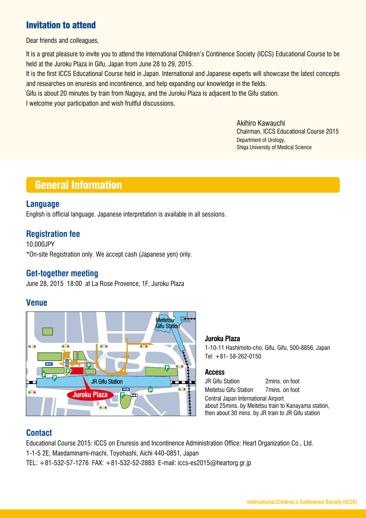# Invitation to attend

Dear friends and colleagues,

It is a great pleasure to invite you to attend the International Children's Continence Society (ICCS) Educational Course to be held at the Juroku Plaza in Gifu, Japan from June 28 to 29, 2015.

It is the first ICCS Educational Course held in Japan. International and Japanese experts will showcase the latest concepts and researches on enuresis and incontinence, and help expanding our knowledge in the fields.

Gifu is about 20 minutes by train from Nagoya, and the Juroku Plaza is adjacent to the Gifu station.

I welcome your participation and wish fruitful discussions.

Akihiro Kawauchi Chairman, ICCS Educational Course 2015 Department of Urology, Shiga University of Medical Science

# General Information

## **Language**

English is official language. Japanese interpretation is available in all sessions.

## **Registration fee**

10,000JPY \*On-site Registration only. We accept cash (Japanese yen) only.

## **Get-together meeting**

June 28, 2015 18:00 at La Rose Provence, 1F, Juroku Plaza

## **Venue**



#### **Juroku Plaza**

1-10-11 Hashimoto-cho, Gifu, Gifu, 500-8856, Japan Tel: +81- 58-262-0150

#### **Access**

JR Gifu Station 2mins. on foot Meitetsu Gifu Station 7mins. on foot Central Japan International Airport about 25mins. by Meitetsu train to Kanayama station, then about 30 mins. by JR train to JR Gifu station

## **Contact**

Educational Course 2015: ICCS on Enuresis and Incontinence Administration Office: Heart Organization Co., Ltd. 1-1-5 2E, Maedaminami-machi, Toyohashi, Aichi 440-0851, Japan

TEL: +81-532-57-1276 FAX: +81-532-52-2883 E-mail: iccs-es2015@heartorg.gr.jp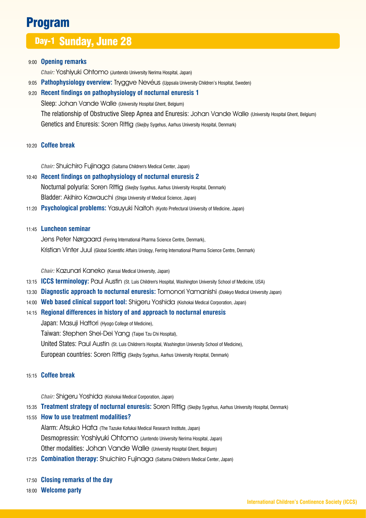# Program

# Day-1 Sunday, June 28

#### 9:00 **Opening remarks**

 *Chair:* Yoshiyuki Ohtomo (Juntendo University Nerima Hospital, Japan)

9:05 **Pathophysiology overview:** Tryggve Nevéus (Uppsala University Children's Hospital, Sweden)

#### 9:20 **Recent findings on pathophysiology of nocturnal enuresis 1**

Sleep: Johan Vande Walle (University Hospital Ghent, Belgium) The relationship of Obstructive Sleep Apnea and Enuresis: Johan Vande Walle (University Hospital Ghent, Belgium) Genetics and Enuresis: Soren Rittig (Skejby Sygehus, Aarhus University Hospital, Denmark)

#### 10:20 **Coffee break**

 *Chair:* Shuichiro Fujinaga (Saitama Children's Medical Center, Japan)

#### 10:40 **Recent findings on pathophysiology of nocturnal enuresis 2**

 Nocturnal polyuria: Soren Rittig (Skejby Sygehus, Aarhus University Hospital, Denmark) Bladder: Akihiro Kawauchi (Shiga University of Medical Science, Japan)

11:20 **Psychological problems:** Yasuyuki Naitoh (Kyoto Prefectural University of Medicine, Japan)

#### 11:45 **Luncheon seminar**

 Jens Peter Nørgaard (Ferring International Pharma Science Centre, Denmark), Kristian Vinter Juul (Global Scientific Affairs Urology, Ferring International Pharma Science Centre, Denmark)

 *Chair:* Kazunari Kaneko (Kansai Medical University, Japan)

- 13:15 **ICCS terminology:** Paul Austin (St. Luis Children's Hospital, Washington University School of Medicine, USA)
- 13:30 **Diagnostic approach to nocturnal enuresis:** Tomonori Yamanishi (Dokkyo Medical University Japan)
- 14:00 **Web based clinical support tool:** Shigeru Yoshida (Kishokai Medical Corporation, Japan)

#### 14:15 **Regional differences in history of and approach to nocturnal enuresis**

Japan: Masuji Hattori (Hyogo College of Medicine),

Taiwan: Stephen Shei-Dei Yang (Taipei Tzu Chi Hospital),

United States: Paul Austin (St. Luis Children's Hospital, Washington University School of Medicine),

European countries: Soren Rittig (Skejby Sygehus, Aarhus University Hospital, Denmark)

#### 15:15 **Coffee break**

 *Chair:* Shigeru Yoshida (Kishokai Medical Corporation, Japan)

15:35 **Treatment strategy of nocturnal enuresis:** Soren Rittig (Skejby Sygehus, Aarhus University Hospital, Denmark)

15:55 **How to use treatment modalities?**

Alarm: Atsuko Hata (The Tazuke Kofukai Medical Research Institute, Japan) Desmopressin: Yoshiyuki Ohtomo (Juntendo University Nerima Hospital, Japan) Other modalities: Johan Vande Walle (University Hospital Ghent, Belgium)

- 17:25 **Combination therapy:** Shuichiro Fujinaga (Saitama Children's Medical Center, Japan)
- 17:50 **Closing remarks of the day**

18:00 **Welcome party**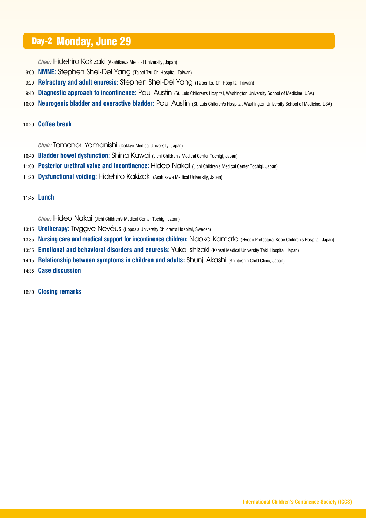# Day-2 Monday, June 29

 *Chair:* Hidehiro Kakizaki (Asahikawa Medical University, Japan)

- 9:00 **NMNE:** Stephen Shei-Dei Yang (Taipei Tzu Chi Hospital, Taiwan)
- 9:20 **Refractory and adult enuresis:** Stephen Shei-Dei Yang (Taipei Tzu Chi Hospital, Taiwan)
- 9:40 **Diagnostic approach to incontinence:** Paul Austin (St. Luis Children's Hospital, Washington University School of Medicine, USA)
- 10:00 **Neurogenic bladder and overactive bladder:** Paul Austin (St. Luis Children's Hospital, Washington University School of Medicine, USA)

#### 10:20 **Coffee break**

 *Chair:* Tomonori Yamanishi (Dokkyo Medical University, Japan)

- 10:40 **Bladder bowel dysfunction:** Shina Kawai (Jichi Children's Medical Center Tochigi, Japan)
- 11:00 **Posterior urethral valve and incontinence:** Hideo Nakai (Jichi Children's Medical Center Tochigi, Japan)
- 11:20 **Dysfunctional voiding:** Hidehiro Kakizaki (Asahikawa Medical University, Japan)

11:45 **Lunch**

 *Chair:* Hideo Nakai (Jichi Children's Medical Center Tochigi, Japan)

- 13:15 **Urotherapy:** Tryggve Nevéus (Uppsala University Children's Hospital, Sweden)
- 13:35 **Nursing care and medical support for incontinence children:** Naoko Kamata (Hyogo Prefectural Kobe Children's Hospital, Japan)
- 13:55 **Emotional and behavioral disorders and enuresis:** Yuko Ishizaki (Kansai Medical University Takii Hospital, Japan)
- 14:15 **Relationship between symptoms in children and adults:** Shunji Akashi (Shintoshin Child Clinic, Japan)
- 14:35 **Case discussion**

16:30 **Closing remarks**